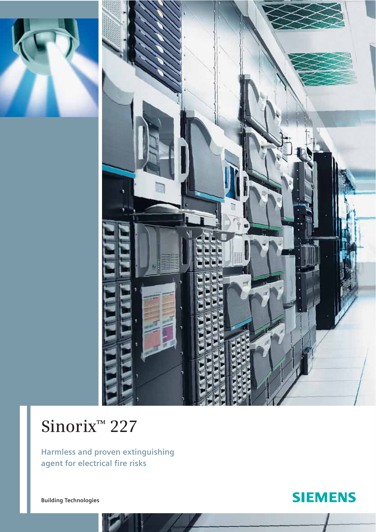



# **Sinorix™ 227**

**Harmless and proven extinguishing agent for electrical fire risks**

**SIEMENS** 

**Building Technologies**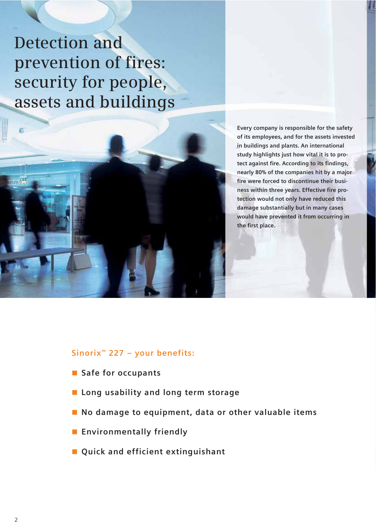**Detection and prevention of fires: security for people, assets and buildings**

> **Every company is responsible for the safety of its employees, and for the assets invested in buildings and plants. An international study highlights just how vital it is to protect against fire. According to its findings, nearly 80% of the companies hit by a major fire were forced to discontinue their business within three years. Effective fire protection would not only have reduced this damage substantially but in many cases would have prevented it from occurring in the first place.**

## **Sinorix™ 227 – your benefits:**

- **E** Safe for occupants
- **E** Long usability and long term storage
- No damage to equipment, data or other valuable items
- **E** Environmentally friendly
- **E** Quick and efficient extinguishant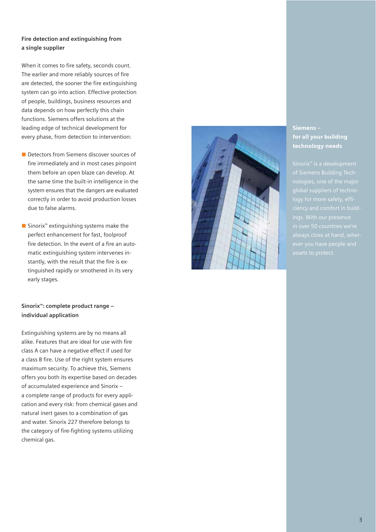#### **Fire detection and extinguishing from a single supplier**

When it comes to fire safety, seconds count. The earlier and more reliably sources of fire are detected, the sooner the fire extinguishing system can go into action. Effective protection of people, buildings, business resources and data depends on how perfectly this chain functions. Siemens offers solutions at the leading edge of technical development for every phase, from detection to intervention:

- **Detectors from Siemens discover sources of** fire immediately and in most cases pinpoint them before an open blaze can develop. At the same time the built-in intelligence in the system ensures that the dangers are evaluated correctly in order to avoid production losses due to false alarms.
- Sinorix<sup>™</sup> extinguishing systems make the perfect enhancement for fast, foolproof fire detection. In the event of a fire an automatic extinguishing system intervenes instantly, with the result that the fire is extinguished rapidly or smothered in its very early stages.

#### **Sinorix™: complete product range – individual application**

Extinguishing systems are by no means all alike. Features that are ideal for use with fire class A can have a negative effect if used for a class B fire. Use of the right system ensures maximum security. To achieve this, Siemens offers you both its expertise based on decades of accumulated experience and Sinorix – a complete range of products for every application and every risk: from chemical gases and natural inert gases to a combination of gas and water. Sinorix 227 therefore belongs to the category of fire-fighting systems utilizing chemical gas.



# for all your building technology needs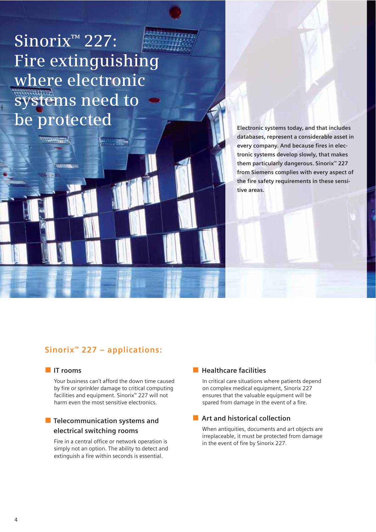**Sinorix™ 227: Fire extinguishing where electronic systems need to be protected Electronic systems today, and that includes** 

**SHUEL** 

**databases, represent a considerable asset in every company. And because fires in electronic systems develop slowly, that makes them particularly dangerous. Sinorix™ 227 from Siemens complies with every aspect of the fire safety requirements in these sensitive areas.**

# **Sinorix™ 227 – applications:**

## **IT rooms**

Your business can't afford the down time caused by fire or sprinkler damage to critical computing facilities and equipment. Sinorix™ 227 will not harm even the most sensitive electronics.

## **E** Telecommunication systems and **electrical switching rooms**

Fire in a central office or network operation is simply not an option. The ability to detect and extinguish a fire within seconds is essential.

## **Healthcare facilities**

In critical care situations where patients depend on complex medical equipment, Sinorix 227 ensures that the valuable equipment will be spared from damage in the event of a fire.

## **Art and historical collection**

When antiquities, documents and art objects are irreplaceable, it must be protected from damage in the event of fire by Sinorix 227.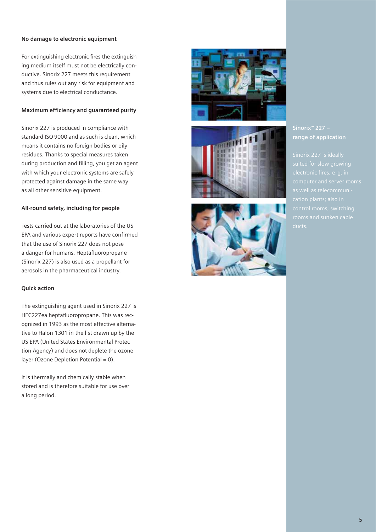#### **No damage to electronic equipment**

For extinguishing electronic fires the extinguishing medium itself must not be electrically conductive. Sinorix 227 meets this requirement and thus rules out any risk for equipment and systems due to electrical conductance.

#### **Maximum efficiency and guaranteed purity**

Sinorix 227 is produced in compliance with standard ISO 9000 and as such is clean, which means it contains no foreign bodies or oily residues. Thanks to special measures taken during production and filling, you get an agent with which your electronic systems are safely protected against damage in the same way as all other sensitive equipment.

#### **All-round safety, including for people**

Tests carried out at the laboratories of the US EPA and various expert reports have confirmed that the use of Sinorix 227 does not pose a danger for humans. Heptafluoropropane (Sinorix 227) is also used as a propellant for aerosols in the pharmaceutical industry.

#### **Quick action**

The extinguishing agent used in Sinorix 227 is HFC227ea heptafluoropropane. This was recognized in 1993 as the most effective alternative to Halon 1301 in the list drawn up by the US EPA (United States Environmental Protection Agency) and does not deplete the ozone layer (Ozone Depletion Potential = 0).

It is thermally and chemically stable when stored and is therefore suitable for use over a long period.







# **range of application**

Sinorix 227 is ideally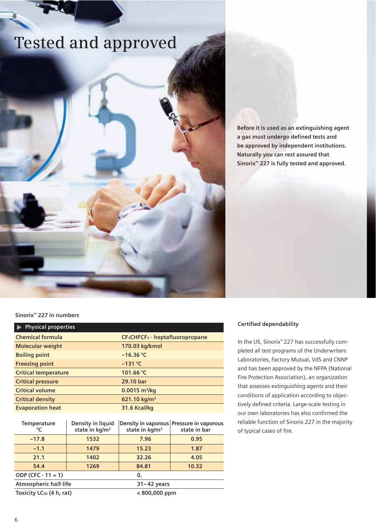# **Tested and approved**



**Before it is used as an extinguishing agent a gas must undergo defined tests and be approved by independent institutions. Naturally you can rest assured that Sinorix™ 227 is fully tested and approved.**

#### **Sinorix™ 227 in numbers**

|  | <b>Physical properties</b>  |                                                         |  |
|--|-----------------------------|---------------------------------------------------------|--|
|  | <b>Chemical formula</b>     | CF <sub>3</sub> CHFCF <sub>3</sub> - heptafluoropropane |  |
|  | <b>Molecular weight</b>     | 170.03 kg/kmol                                          |  |
|  | <b>Boiling point</b>        | $-16.36 °C$                                             |  |
|  | <b>Freezing point</b>       | $-131$ °C                                               |  |
|  | <b>Critical temperature</b> | 101.66 $\degree$ C                                      |  |
|  | <b>Critical pressure</b>    | 29.10 bar                                               |  |
|  | <b>Critical volume</b>      | $0.0015$ m <sup>3</sup> /kg                             |  |
|  | <b>Critical density</b>     | $621.10 \text{ kg/m}^3$                                 |  |

**Evaporation heat 31.6 Kcal/kg**

| <b>Temperature</b><br>°C             | Density in liquid<br>state in kg/m <sup>2</sup> | state in kg/m <sup>3</sup> | Density in vaporous Pressure in vaporous<br>state in bar |  |  |
|--------------------------------------|-------------------------------------------------|----------------------------|----------------------------------------------------------|--|--|
| $-17.8$                              | 1532                                            | 7.96                       | 0.95                                                     |  |  |
| $-1.1$                               | 1479                                            | 15.23                      | 1.87                                                     |  |  |
| 21.1                                 | 1402                                            | 32.26                      | 4.05                                                     |  |  |
| 54.4                                 | 1269                                            | 84.81                      | 10.32                                                    |  |  |
| ODP (CFC - 11 = 1)                   |                                                 | 0.                         |                                                          |  |  |
| Atmospheric half-life                |                                                 | $31 - 42$ years            |                                                          |  |  |
| Toxicity LC <sub>50</sub> (4 h, rat) |                                                 | < 800,000 ppm              |                                                          |  |  |

## **Certified dependability**

In the US, Sinorix™ 227 has successfully completed all test programs of the Underwriters Laboratories, Factory Mutual, VdS and CNNP and has been approved by the NFPA (National Fire Protection Association), an organization that assesses extinguishing agents and their conditions of application according to objectively defined criteria. Large-scale testing in our own laboratories has also confirmed the reliable function of Sinorix 227 in the majority of typical cases of fire.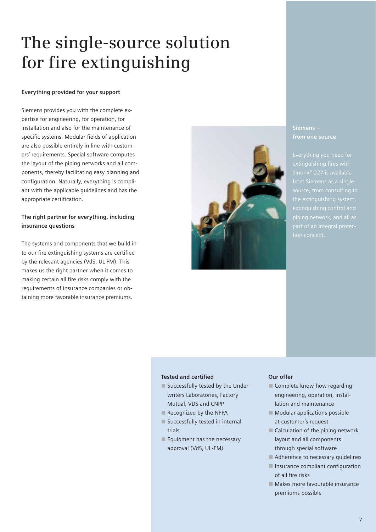# **The single-source solution for fire extinguishing**

#### **Everything provided for your support**

Siemens provides you with the complete expertise for engineering, for operation, for installation and also for the maintenance of specific systems. Modular fields of application are also possible entirely in line with customers' requirements. Special software computes the layout of the piping networks and all components, thereby facilitating easy planning and configuration. Naturally, everything is compliant with the applicable guidelines and has the appropriate certification.

#### **The right partner for everything, including insurance questions**

The systems and components that we build into our fire extinguishing systems are certified by the relevant agencies (VdS, UL-FM). This makes us the right partner when it comes to making certain all fire risks comply with the requirements of insurance companies or obtaining more favorable insurance premiums.



# **from one source**

#### **Tested and certified**

- Successfully tested by the Underwriters Laboratories, Factory Mutual, VDS and CNPP
- Recognized by the NFPA
- Successfully tested in internal trials
- $\blacksquare$  Equipment has the necessary approval (VdS, UL-FM)

#### **Our offer**

- Complete know-how regarding engineering, operation, installation and maintenance
- Modular applications possible at customer's request
- Calculation of the piping network layout and all components through special software
- Adherence to necessary guidelines
- **Insurance compliant configuration** of all fire risks
- Makes more favourable insurance premiums possible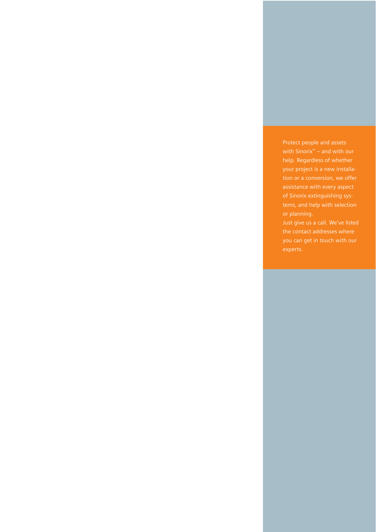Protect people and assets help. Regardless of whether your project is a new installaassistance with every aspect of Sinorix extinguishing systems, and help with selection or planning. Just give us a call. We've listed the contact addresses where

you can get in touch with our

experts.